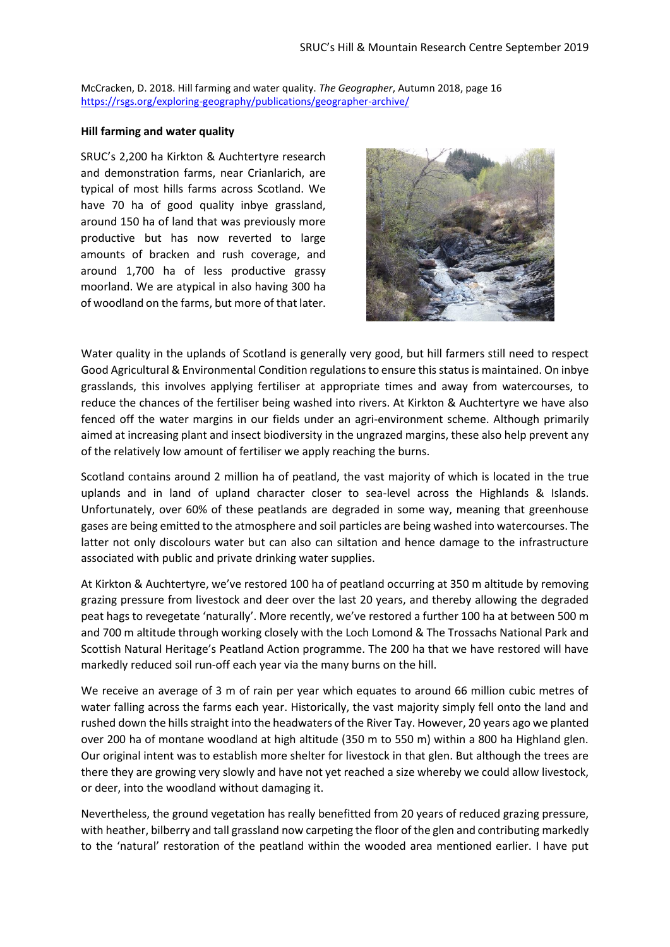McCracken, D. 2018. Hill farming and water quality. *The Geographer*, Autumn 2018, page 16 <https://rsgs.org/exploring-geography/publications/geographer-archive/>

## **Hill farming and water quality**

SRUC's 2,200 ha Kirkton & Auchtertyre research and demonstration farms, near Crianlarich, are typical of most hills farms across Scotland. We have 70 ha of good quality inbye grassland, around 150 ha of land that was previously more productive but has now reverted to large amounts of bracken and rush coverage, and around 1,700 ha of less productive grassy moorland. We are atypical in also having 300 ha of woodland on the farms, but more of that later.



Water quality in the uplands of Scotland is generally very good, but hill farmers still need to respect Good Agricultural & Environmental Condition regulations to ensure this status is maintained. On inbye grasslands, this involves applying fertiliser at appropriate times and away from watercourses, to reduce the chances of the fertiliser being washed into rivers. At Kirkton & Auchtertyre we have also fenced off the water margins in our fields under an agri-environment scheme. Although primarily aimed at increasing plant and insect biodiversity in the ungrazed margins, these also help prevent any of the relatively low amount of fertiliser we apply reaching the burns.

Scotland contains around 2 million ha of peatland, the vast majority of which is located in the true uplands and in land of upland character closer to sea-level across the Highlands & Islands. Unfortunately, over 60% of these peatlands are degraded in some way, meaning that greenhouse gases are being emitted to the atmosphere and soil particles are being washed into watercourses. The latter not only discolours water but can also can siltation and hence damage to the infrastructure associated with public and private drinking water supplies.

At Kirkton & Auchtertyre, we've restored 100 ha of peatland occurring at 350 m altitude by removing grazing pressure from livestock and deer over the last 20 years, and thereby allowing the degraded peat hags to revegetate 'naturally'. More recently, we've restored a further 100 ha at between 500 m and 700 m altitude through working closely with the Loch Lomond & The Trossachs National Park and Scottish Natural Heritage's Peatland Action programme. The 200 ha that we have restored will have markedly reduced soil run-off each year via the many burns on the hill.

We receive an average of 3 m of rain per year which equates to around 66 million cubic metres of water falling across the farms each year. Historically, the vast majority simply fell onto the land and rushed down the hills straight into the headwaters of the River Tay. However, 20 years ago we planted over 200 ha of montane woodland at high altitude (350 m to 550 m) within a 800 ha Highland glen. Our original intent was to establish more shelter for livestock in that glen. But although the trees are there they are growing very slowly and have not yet reached a size whereby we could allow livestock, or deer, into the woodland without damaging it.

Nevertheless, the ground vegetation has really benefitted from 20 years of reduced grazing pressure, with heather, bilberry and tall grassland now carpeting the floor of the glen and contributing markedly to the 'natural' restoration of the peatland within the wooded area mentioned earlier. I have put